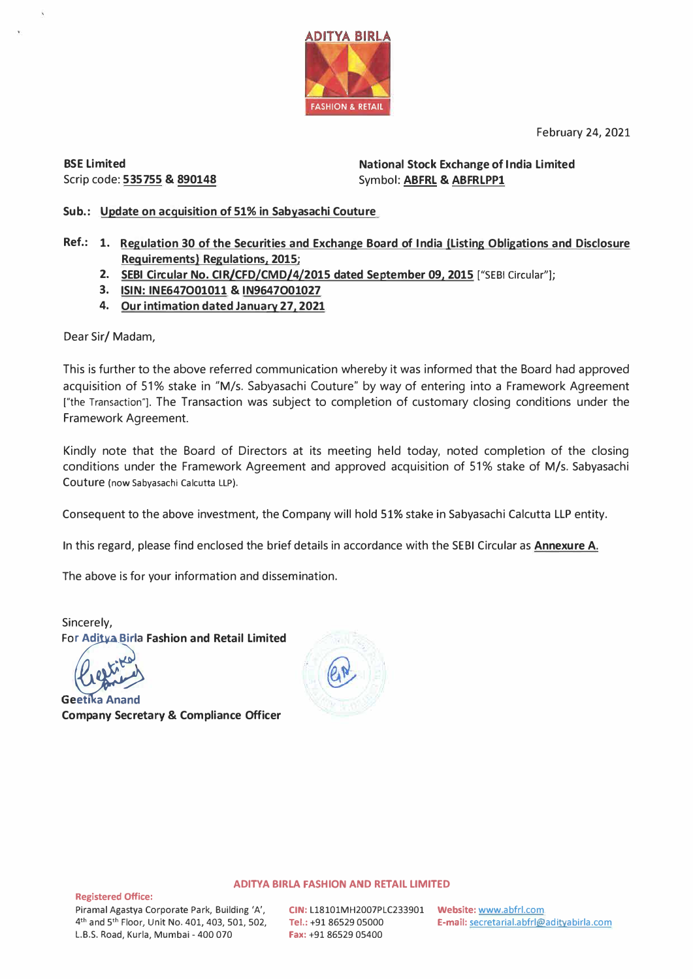February 24, 2021



**BSE Limited**  Scrip code: **535755** & **890148**  **National Stock Exchange of India Limited**  Symbol: **ABFRL** & **ABFRLPPl** 

**Sub.: Update on acquisition of 51% in Sabyasachi Couture** 

- **Ref.: 1. Regulation 30 of the Securities and Exchange Board of India (Listing Obligations and Disclosure Requirements) Regulations, 2015;** 
	- **2. SEBI Circular No. CIR/CFD/CMD/4/2015 dated September 09, 2015** ["SEBI Circular"];
	- **3. ISIN: INE647O01011** & **IN9647O01027**
	- **4. Our intimation dated January 27, 2021**

Dear Sir/ Madam,

This is further to the above referred communication whereby it was informed that the Board had approved acquisition of 51% stake in "M/s. Sabyasachi Couture" by way of entering into a Framework Agreement ["the Transaction"]. The Transaction was subject to completion of customary closing conditions under the Framework Agreement.

Kindly note that the Board of Directors at its meeting held today, noted completion of the closing conditions under the Framework Agreement and approved acquisition of 51% stake of M/s. Sabyasachi Couture (now Sabyasachi Calcutta LLP).

Consequent to the above investment, the Company will hold 51% stake in Sabyasachi Calcutta LLP entity.

In this regard, please find enclosed the brief details in accordance with the SEBI Circular as **Annexure A.** 

The above is for your information and dissemination.

Sincerely, **Fop: Fashion and Retail Limited** 

**Geetika Anand Company Secretary & Compliance Officer** 



## **ADITYA BIRLA FASHION AND RETAIL LIMITED**

**Registered Office:** 

**CIN:** L18101MH2007PLC233901 **Website:** www.abfrl.com **Fax:** +91 86529 05400